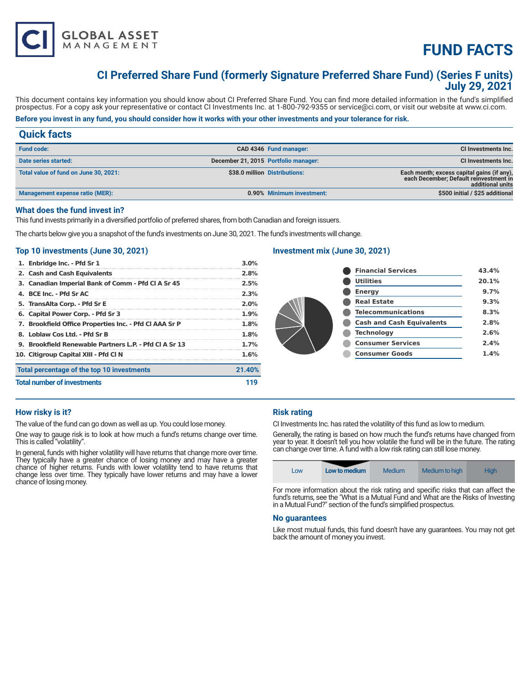

# **FUND FACTS**

## **CI Preferred Share Fund (formerly Signature Preferred Share Fund) (Series F units) July 29, 2021**

This document contains key information you should know about CI Preferred Share Fund. You can find more detailed information in the fund's simplified prospectus. For a copy ask your representative or contact CI Investments Inc. at 1-800-792-9355 or service@ci.com, or visit our website at www.ci.com.

### **Before you invest in any fund, you should consider how it works with your other investments and your tolerance for risk.**

### **Quick facts Fund code: CAD 4346 Fund manager: CI Investments Inc. Date series started:** CI Investments Inc. **December 21, 2015 Portfolio manager:** CI Investments Inc. **CI Investments Inc. Total value of fund on June 30, 2021: \$38.0 million Distributions: Each month; excess capital gains (if any), each December; Default reinvestment in additional units**  Management expense ratio (MER): **0.90% Minimum investment:** \$500 initial / \$25 additional **\$500 initial / \$25 additional**

#### **What does the fund invest in?**

This fund invests primarily in a diversified portfolio of preferred shares, from both Canadian and foreign issuers.

The charts below give you a snapshot of the fund's investments on June 30, 2021. The fund's investments will change.

#### **Top 10 investments (June 30, 2021)**

| 1. Enbridge Inc. - Pfd Sr 1                            | 3.0%    |
|--------------------------------------------------------|---------|
| 2. Cash and Cash Equivalents                           | 2.8%    |
| 3. Canadian Imperial Bank of Comm - Pfd CI A Sr 45     | 2.5%    |
| 4. BCE Inc. - Pfd Sr AC                                | 2.3%    |
| 5. TransAlta Corp. - Pfd Sr E                          | $2.0\%$ |
| 6. Capital Power Corp. - Pfd Sr 3                      | $1.9\%$ |
| 7. Brookfield Office Properties Inc. - Pfd Cl AAA Sr P | 1.8%    |
| 8. Loblaw Cos Ltd. - Pfd Sr B                          | 1.8%    |
| 9. Brookfield Renewable Partners L.P. - Pfd CLA Sr 13  | $1.7\%$ |
| 10. Citigroup Capital XIII - Pfd Cl N                  | 1.6%    |
| Total percentage of the top 10 investments             | 21.40%  |
| <b>Total number of investments</b>                     | 119     |

#### **Investment mix (June 30, 2021)**

|  | <b>Financial Services</b>        | 43.4% |
|--|----------------------------------|-------|
|  | <b>Utilities</b>                 | 20.1% |
|  | <b>Energy</b>                    | 9.7%  |
|  | <b>Real Estate</b>               | 9.3%  |
|  | <b>Telecommunications</b>        | 8.3%  |
|  | <b>Cash and Cash Equivalents</b> | 2.8%  |
|  | <b>Technology</b>                | 2.6%  |
|  | <b>Consumer Services</b>         | 2.4%  |
|  | <b>Consumer Goods</b>            | 1.4%  |
|  |                                  |       |

#### **How risky is it?**

The value of the fund can go down as well as up. You could lose money.

One way to gauge risk is to look at how much a fund's returns change over time. This is called "volatility".

In general, funds with higher volatility will have returns that change more over time. They typically have a greater chance of losing money and may have a greater chance of higher returns. Funds with lower volatility tend to have returns that change less over time. They typically have lower returns and may have a lower chance of losing money.

### **Risk rating**

CI Investments Inc. has rated the volatility of this fund as low to medium.

Generally, the rating is based on how much the fund's returns have changed from year to year. It doesn't tell you how volatile the fund will be in the future. The rating can change over time. A fund with a low risk rating can still lose money.



For more information about the risk rating and specific risks that can affect the fund's returns, see the "What is a Mutual Fund and What are the Risks of Investing in a Mutual Fund?" section of the fund's simplified prospectus.

#### **No guarantees**

Like most mutual funds, this fund doesn't have any guarantees. You may not get back the amount of money you invest.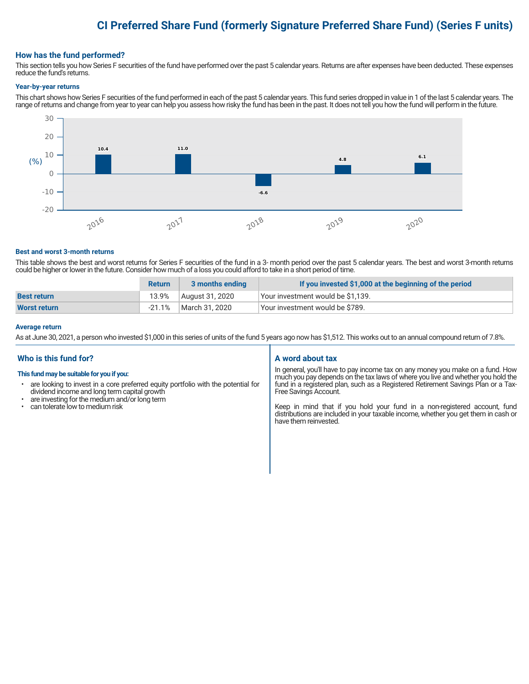# **CI Preferred Share Fund (formerly Signature Preferred Share Fund) (Series F units)**

#### **How has the fund performed?**

This section tells you how Series F securities of the fund have performed over the past 5 calendar years. Returns are after expenses have been deducted. These expenses reduce the fund's returns.

#### **Year-by-year returns**

This chart shows how Series F securities of the fund performed in each of the past 5 calendar years. This fund series dropped in value in 1 of the last 5 calendar years. The range of returns and change from year to year can help you assess how risky the fund has been in the past. It does not tell you how the fund will perform in the future.



#### **Best and worst 3-month returns**

This table shows the best and worst returns for Series F securities of the fund in a 3- month period over the past 5 calendar years. The best and worst 3-month returns could be higher or lower in the future. Consider how much of a loss you could afford to take in a short period of time.

|                     | <b>Return</b> | 3 months ending | If you invested \$1,000 at the beginning of the period |
|---------------------|---------------|-----------------|--------------------------------------------------------|
| <b>Best return</b>  | 13.9%         | August 31, 2020 | Your investment would be \$1,139.                      |
| <b>Worst return</b> | $-21.1\%$     | March 31. 2020  | Vour investment would be \$789.                        |

#### **Average return**

As at June 30, 2021, a person who invested \$1,000 in this series of units of the fund 5 years ago now has \$1,512. This works out to an annual compound return of 7.8%.

#### **Who is this fund for?**

#### **This fund may be suitable for you if you:**

- are looking to invest in a core preferred equity portfolio with the potential for dividend income and long term capital growth
- are investing for the medium and/or long term<br>• can tolerate low to medium risk
- can tolerate low to medium risk

#### **A word about tax**

In general, you'll have to pay income tax on any money you make on a fund. How much you pay depends on the tax laws of where you live and whether you hold the fund in a registered plan, such as a Registered Retirement Savings Plan or a Tax-Free Savings Account.

Keep in mind that if you hold your fund in a non-registered account, fund distributions are included in your taxable income, whether you get them in cash or have them reinvested.